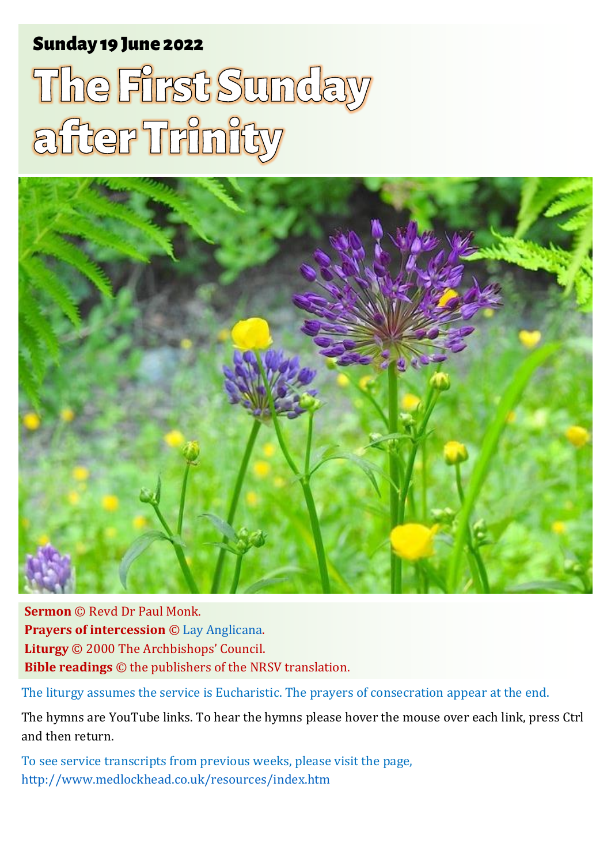### Sunday 19 June 2022 1 The First Sunday 19 June 2022 1 The First Sunday after Sunday 19 June 2022 1 The First S

# The First Sunday after Trinity



**Sermon** © Revd Dr Paul Monk. **Prayers of intercession** © [Lay Anglicana.](http://www.layanglicana.org/blog/2013/05/29/intercessions-for-first-sunday-after-trinity-proper-4-3-june-2013-2/?doing_wp_cron=1655287456.6964299678802490234375) **Liturgy** © 2000 The Archbishops' Council. **Bible readings** © the publishers of the NRSV translation.

The liturgy assumes the service is Eucharistic. The prayers of consecration appear at the end.

The hymns are YouTube links. To hear the hymns please hover the mouse over each link, press Ctrl and then return.

To see service transcripts from previous weeks, please visit the page, <http://www.medlockhead.co.uk/resources/index.htm>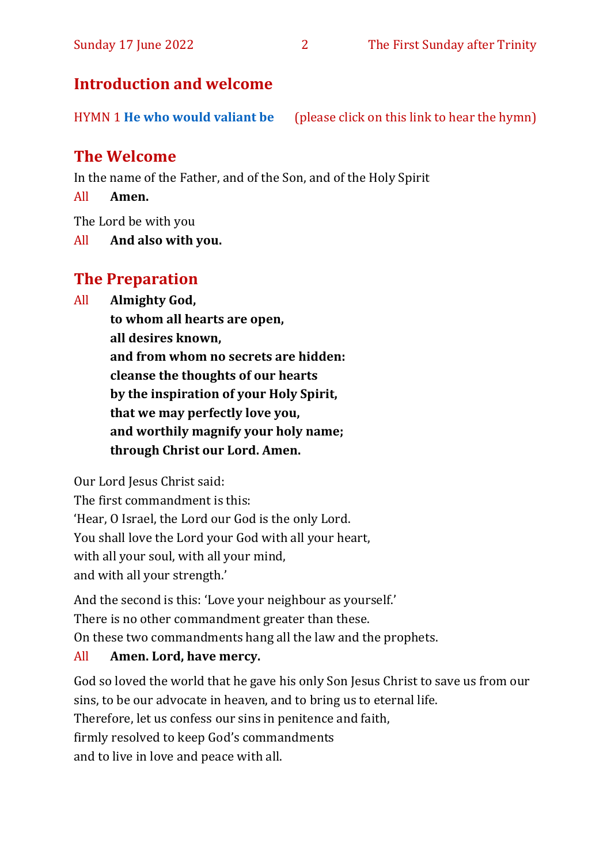#### **Introduction and welcome**

HYMN 1 **[He who would valiant be](https://www.youtube.com/watch?v=5yHJMPw8RHU)** (please click on this link to hear the hymn)

#### **The Welcome**

In the name of the Father, and of the Son, and of the Holy Spirit

All **Amen.**

The Lord be with you

All **And also with you.**

#### **The Preparation**

All **Almighty God,**

**to whom all hearts are open, all desires known, and from whom no secrets are hidden: cleanse the thoughts of our hearts by the inspiration of your Holy Spirit, that we may perfectly love you, and worthily magnify your holy name; through Christ our Lord. Amen.**

Our Lord Jesus Christ said:

The first commandment is this: 'Hear, O Israel, the Lord our God is the only Lord. You shall love the Lord your God with all your heart, with all your soul, with all your mind, and with all your strength.'

And the second is this: 'Love your neighbour as yourself.' There is no other commandment greater than these. On these two commandments hang all the law and the prophets.

#### All **Amen. Lord, have mercy.**

God so loved the world that he gave his only Son Jesus Christ to save us from our sins, to be our advocate in heaven, and to bring us to eternal life. Therefore, let us confess our sins in penitence and faith, firmly resolved to keep God's commandments and to live in love and peace with all.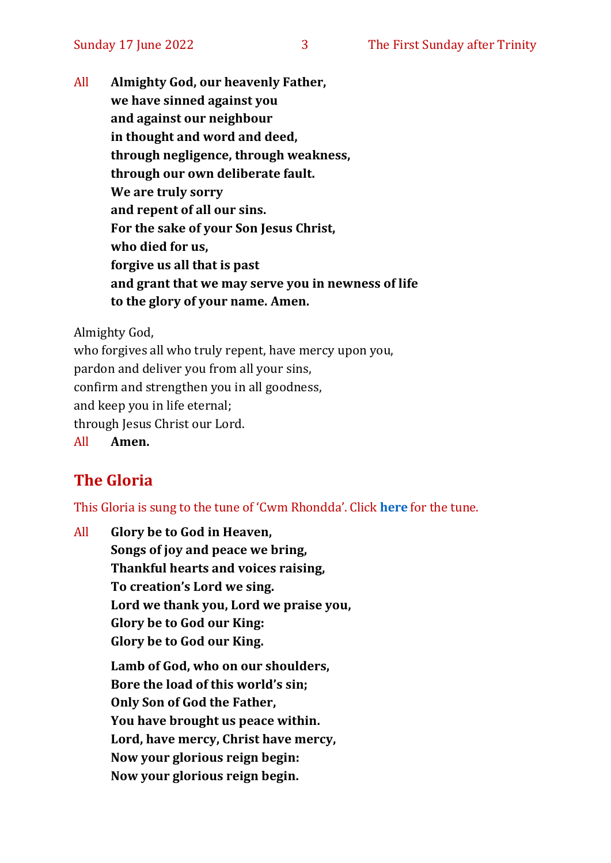All **Almighty God, our heavenly Father, we have sinned against you and against our neighbour in thought and word and deed, through negligence, through weakness, through our own deliberate fault. We are truly sorry and repent of all our sins. For the sake of your Son Jesus Christ, who died for us, forgive us all that is past and grant that we may serve you in newness of life to the glory of your name. Amen.**

Almighty God,

who forgives all who truly repent, have mercy upon you, pardon and deliver you from all your sins, confirm and strengthen you in all goodness, and keep you in life eternal; through Jesus Christ our Lord. All **Amen.**

#### **The Gloria**

This Gloria is sung to the tune of 'Cwm Rhondda'. Click **[here](about:blank)** for the tune.

All **Glory be to God in Heaven, Songs of joy and peace we bring, Thankful hearts and voices raising, To creation's Lord we sing. Lord we thank you, Lord we praise you, Glory be to God our King: Glory be to God our King. Lamb of God, who on our shoulders, Bore the load of this world's sin; Only Son of God the Father, You have brought us peace within. Lord, have mercy, Christ have mercy,**

**Now your glorious reign begin:**

**Now your glorious reign begin.**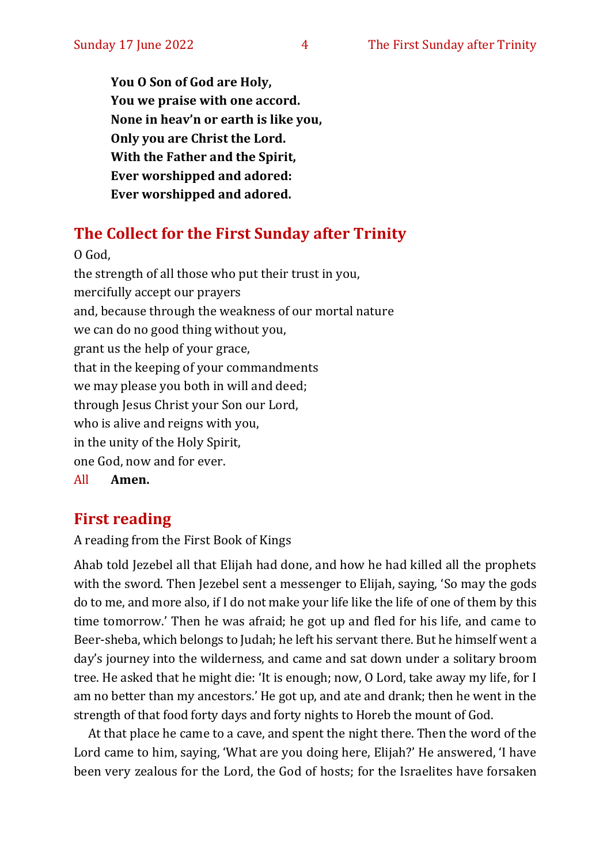**You O Son of God are Holy, You we praise with one accord. None in heav'n or earth is like you, Only you are Christ the Lord. With the Father and the Spirit, Ever worshipped and adored: Ever worshipped and adored.**

#### **The Collect for the First Sunday after Trinity**

O God, the strength of all those who put their trust in you, mercifully accept our prayers and, because through the weakness of our mortal nature we can do no good thing without you, grant us the help of your grace, that in the keeping of your commandments we may please you both in will and deed; through Jesus Christ your Son our Lord, who is alive and reigns with you, in the unity of the Holy Spirit, one God, now and for ever. All **Amen.**

#### **First reading**

A reading from the First Book of Kings

Ahab told Jezebel all that Elijah had done, and how he had killed all the prophets with the sword. Then Jezebel sent a messenger to Elijah, saying, 'So may the gods do to me, and more also, if I do not make your life like the life of one of them by this time tomorrow.' Then he was afraid; he got up and fled for his life, and came to Beer-sheba, which belongs to Judah; he left his servant there. But he himself went a day's journey into the wilderness, and came and sat down under a solitary broom tree. He asked that he might die: 'It is enough; now, O Lord, take away my life, for I am no better than my ancestors.' He got up, and ate and drank; then he went in the strength of that food forty days and forty nights to Horeb the mount of God.

At that place he came to a cave, and spent the night there. Then the word of the Lord came to him, saying, 'What are you doing here, Elijah?' He answered, 'I have been very zealous for the Lord, the God of hosts; for the Israelites have forsaken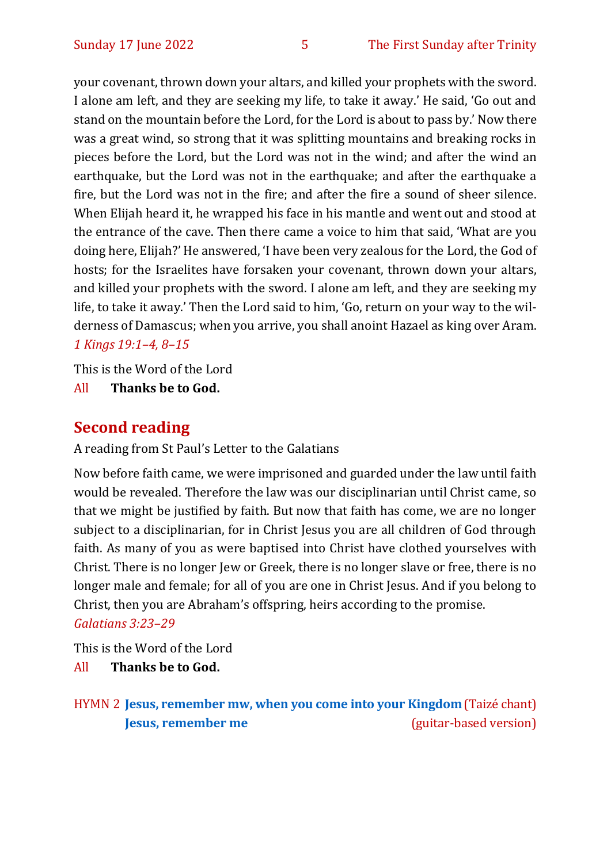your covenant, thrown down your altars, and killed your prophets with the sword. I alone am left, and they are seeking my life, to take it away.' He said, 'Go out and stand on the mountain before the Lord, for the Lord is about to pass by.' Now there was a great wind, so strong that it was splitting mountains and breaking rocks in pieces before the Lord, but the Lord was not in the wind; and after the wind an earthquake, but the Lord was not in the earthquake; and after the earthquake a fire, but the Lord was not in the fire; and after the fire a sound of sheer silence. When Elijah heard it, he wrapped his face in his mantle and went out and stood at the entrance of the cave. Then there came a voice to him that said, 'What are you doing here, Elijah?' He answered, 'I have been very zealous for the Lord, the God of hosts; for the Israelites have forsaken your covenant, thrown down your altars, and killed your prophets with the sword. I alone am left, and they are seeking my life, to take it away.' Then the Lord said to him, 'Go, return on your way to the wilderness of Damascus; when you arrive, you shall anoint Hazael as king over Aram. *1 Kings 19:1–4, 8–15*

This is the Word of the Lord

All **Thanks be to God.**

#### **Second reading**

A reading from St Paul's Letter to the Galatians

Now before faith came, we were imprisoned and guarded under the law until faith would be revealed. Therefore the law was our disciplinarian until Christ came, so that we might be justified by faith. But now that faith has come, we are no longer subject to a disciplinarian, for in Christ Jesus you are all children of God through faith. As many of you as were baptised into Christ have clothed yourselves with Christ. There is no longer Jew or Greek, there is no longer slave or free, there is no longer male and female; for all of you are one in Christ Jesus. And if you belong to Christ, then you are Abraham's offspring, heirs according to the promise. *Galatians 3:23–29*

This is the Word of the Lord

All **Thanks be to God.**

HYMN 2 **[Jesus, remember mw, when you come into your Kingdom](https://www.youtube.com/watch?v=RGB2E0NzO2A)**(Taizé chant) **[Jesus, remember me](https://www.youtube.com/watch?v=bQtsJl1RjC0)** (guitar-based version)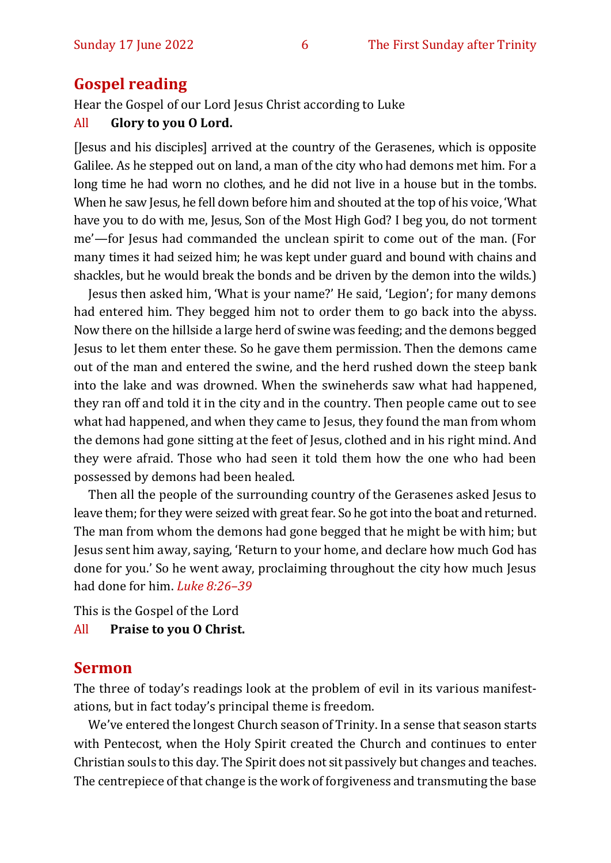#### **Gospel reading**

Hear the Gospel of our Lord Jesus Christ according to Luke

#### All **Glory to you O Lord.**

[Jesus and his disciples] arrived at the country of the Gerasenes, which is opposite Galilee. As he stepped out on land, a man of the city who had demons met him. For a long time he had worn no clothes, and he did not live in a house but in the tombs. When he saw Jesus, he fell down before him and shouted at the top of his voice, 'What have you to do with me, Jesus, Son of the Most High God? I beg you, do not torment me'—for Jesus had commanded the unclean spirit to come out of the man. (For many times it had seized him; he was kept under guard and bound with chains and shackles, but he would break the bonds and be driven by the demon into the wilds.)

Jesus then asked him, 'What is your name?' He said, 'Legion'; for many demons had entered him. They begged him not to order them to go back into the abyss. Now there on the hillside a large herd of swine was feeding; and the demons begged Jesus to let them enter these. So he gave them permission. Then the demons came out of the man and entered the swine, and the herd rushed down the steep bank into the lake and was drowned. When the swineherds saw what had happened, they ran off and told it in the city and in the country. Then people came out to see what had happened, and when they came to Jesus, they found the man from whom the demons had gone sitting at the feet of Jesus, clothed and in his right mind. And they were afraid. Those who had seen it told them how the one who had been possessed by demons had been healed.

Then all the people of the surrounding country of the Gerasenes asked Jesus to leave them; for they were seized with great fear. So he got into the boat and returned. The man from whom the demons had gone begged that he might be with him; but Jesus sent him away, saying, 'Return to your home, and declare how much God has done for you.' So he went away, proclaiming throughout the city how much Jesus had done for him. *Luke 8:26–39*

This is the Gospel of the Lord All **Praise to you O Christ.** 

#### **Sermon**

The three of today's readings look at the problem of evil in its various manifestations, but in fact today's principal theme is freedom.

We've entered the longest Church season of Trinity. In a sense that season starts with Pentecost, when the Holy Spirit created the Church and continues to enter Christian souls to this day. The Spirit does not sit passively but changes and teaches. The centrepiece of that change is the work of forgiveness and transmuting the base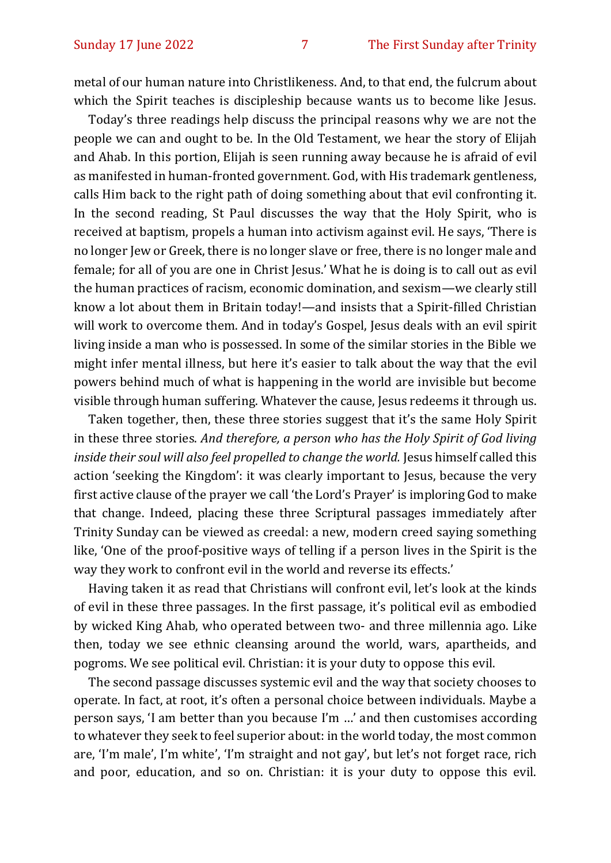metal of our human nature into Christlikeness. And, to that end, the fulcrum about which the Spirit teaches is discipleship because wants us to become like Jesus.

Today's three readings help discuss the principal reasons why we are not the people we can and ought to be. In the Old Testament, we hear the story of Elijah and Ahab. In this portion, Elijah is seen running away because he is afraid of evil as manifested in human-fronted government. God, with His trademark gentleness, calls Him back to the right path of doing something about that evil confronting it. In the second reading, St Paul discusses the way that the Holy Spirit, who is received at baptism, propels a human into activism against evil. He says, 'There is no longer Jew or Greek, there is no longer slave or free, there is no longer male and female; for all of you are one in Christ Jesus.' What he is doing is to call out as evil the human practices of racism, economic domination, and sexism—we clearly still know a lot about them in Britain today!—and insists that a Spirit-filled Christian will work to overcome them. And in today's Gospel, Jesus deals with an evil spirit living inside a man who is possessed. In some of the similar stories in the Bible we might infer mental illness, but here it's easier to talk about the way that the evil powers behind much of what is happening in the world are invisible but become visible through human suffering. Whatever the cause, Jesus redeems it through us.

Taken together, then, these three stories suggest that it's the same Holy Spirit in these three stories. *And therefore, a person who has the Holy Spirit of God living inside their soul will also feel propelled to change the world.* Jesus himself called this action 'seeking the Kingdom': it was clearly important to Jesus, because the very first active clause of the prayer we call 'the Lord's Prayer' is imploring God to make that change. Indeed, placing these three Scriptural passages immediately after Trinity Sunday can be viewed as creedal: a new, modern creed saying something like, 'One of the proof-positive ways of telling if a person lives in the Spirit is the way they work to confront evil in the world and reverse its effects.'

Having taken it as read that Christians will confront evil, let's look at the kinds of evil in these three passages. In the first passage, it's political evil as embodied by wicked King Ahab, who operated between two- and three millennia ago. Like then, today we see ethnic cleansing around the world, wars, apartheids, and pogroms. We see political evil. Christian: it is your duty to oppose this evil.

The second passage discusses systemic evil and the way that society chooses to operate. In fact, at root, it's often a personal choice between individuals. Maybe a person says, 'I am better than you because I'm …' and then customises according to whatever they seek to feel superior about: in the world today, the most common are, 'I'm male', I'm white', 'I'm straight and not gay', but let's not forget race, rich and poor, education, and so on. Christian: it is your duty to oppose this evil.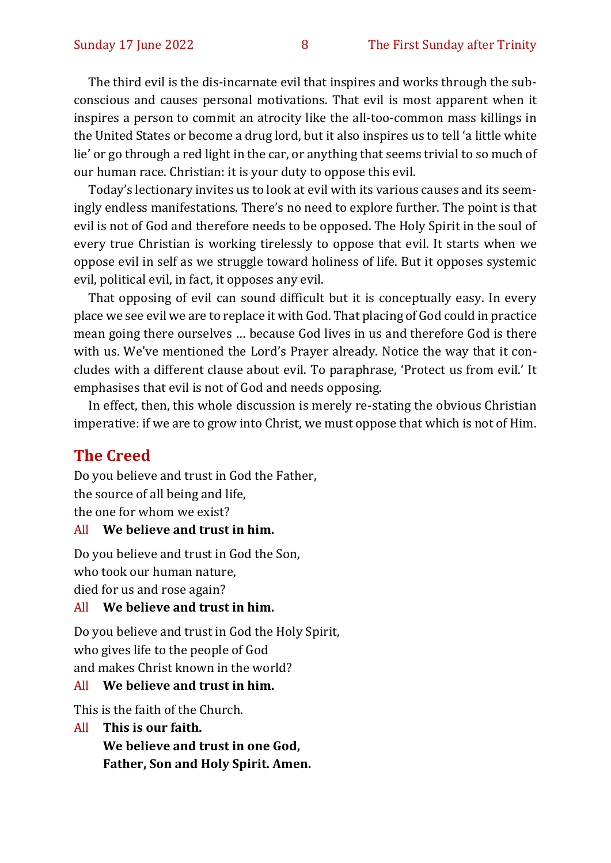The third evil is the dis-incarnate evil that inspires and works through the subconscious and causes personal motivations. That evil is most apparent when it inspires a person to commit an atrocity like the all-too-common mass killings in the United States or become a drug lord, but it also inspires us to tell 'a little white lie' or go through a red light in the car, or anything that seems trivial to so much of our human race. Christian: it is your duty to oppose this evil.

Today's lectionary invites us to look at evil with its various causes and its seemingly endless manifestations. There's no need to explore further. The point is that evil is not of God and therefore needs to be opposed. The Holy Spirit in the soul of every true Christian is working tirelessly to oppose that evil. It starts when we oppose evil in self as we struggle toward holiness of life. But it opposes systemic evil, political evil, in fact, it opposes any evil.

That opposing of evil can sound difficult but it is conceptually easy. In every place we see evil we are to replace it with God. That placing of God could in practice mean going there ourselves … because God lives in us and therefore God is there with us. We've mentioned the Lord's Prayer already. Notice the way that it concludes with a different clause about evil. To paraphrase, 'Protect us from evil.' It emphasises that evil is not of God and needs opposing.

In effect, then, this whole discussion is merely re-stating the obvious Christian imperative: if we are to grow into Christ, we must oppose that which is not of Him.

#### **The Creed**

Do you believe and trust in God the Father, the source of all being and life, the one for whom we exist?

#### All **We believe and trust in him.**

Do you believe and trust in God the Son, who took our human nature, died for us and rose again?

#### All **We believe and trust in him.**

Do you believe and trust in God the Holy Spirit, who gives life to the people of God and makes Christ known in the world?

#### All **We believe and trust in him.**

This is the faith of the Church.

All **This is our faith.**

**We believe and trust in one God, Father, Son and Holy Spirit. Amen.**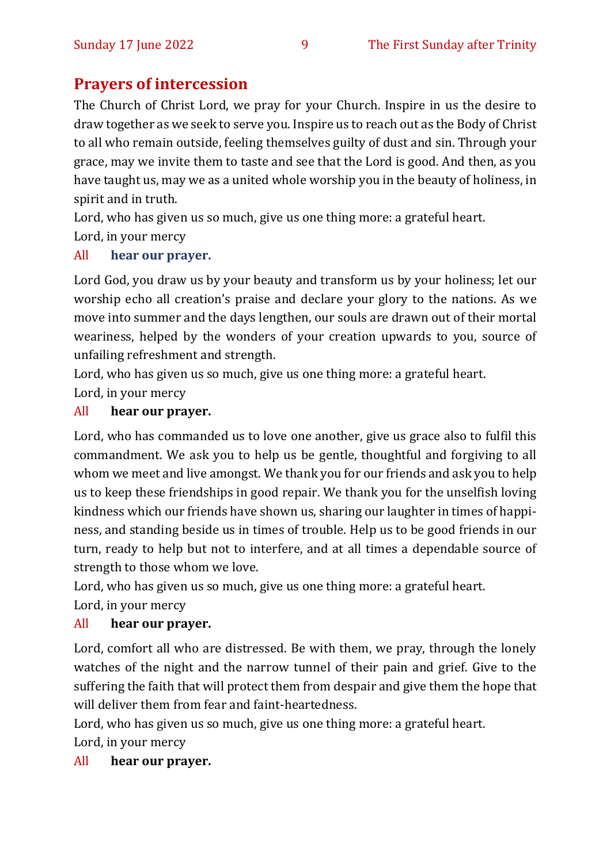#### **Prayers of intercession**

The Church of Christ Lord, we pray for your Church. Inspire in us the desire to draw together as we seek to serve you. Inspire us to reach out as the Body of Christ to all who remain outside, feeling themselves guilty of dust and sin. Through your grace, may we invite them to taste and see that the Lord is good. And then, as you have taught us, may we as a united whole worship you in the beauty of holiness, in spirit and in truth.

Lord, who has given us so much, give us one thing more: a grateful heart. Lord, in your mercy

#### All **hear our prayer.**

Lord God, you draw us by your beauty and transform us by your holiness; let our worship echo all creation's praise and declare your glory to the nations. As we move into summer and the days lengthen, our souls are drawn out of their mortal weariness, helped by the wonders of your creation upwards to you, source of unfailing refreshment and strength.

Lord, who has given us so much, give us one thing more: a grateful heart.

Lord, in your mercy

#### All **hear our prayer.**

Lord, who has commanded us to love one another, give us grace also to fulfil this commandment. We ask you to help us be gentle, thoughtful and forgiving to all whom we meet and live amongst. We thank you for our friends and ask you to help us to keep these friendships in good repair. We thank you for the unselfish loving kindness which our friends have shown us, sharing our laughter in times of happiness, and standing beside us in times of trouble. Help us to be good friends in our turn, ready to help but not to interfere, and at all times a dependable source of strength to those whom we love.

Lord, who has given us so much, give us one thing more: a grateful heart. Lord, in your mercy

#### All **hear our prayer.**

Lord, comfort all who are distressed. Be with them, we pray, through the lonely watches of the night and the narrow tunnel of their pain and grief. Give to the suffering the faith that will protect them from despair and give them the hope that will deliver them from fear and faint-heartedness.

Lord, who has given us so much, give us one thing more: a grateful heart.

Lord, in your mercy

#### All **hear our prayer.**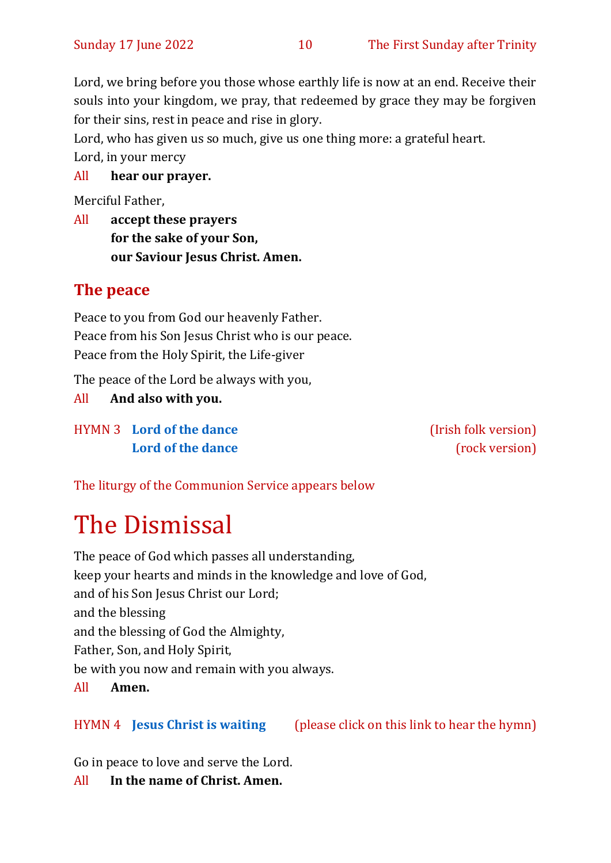Lord, we bring before you those whose earthly life is now at an end. Receive their souls into your kingdom, we pray, that redeemed by grace they may be forgiven for their sins, rest in peace and rise in glory.

Lord, who has given us so much, give us one thing more: a grateful heart. Lord, in your mercy

All **hear our prayer.**

Merciful Father,

All **accept these prayers for the sake of your Son, our Saviour Jesus Christ. Amen.**

#### **The peace**

Peace to you from God our heavenly Father. Peace from his Son Jesus Christ who is our peace. Peace from the Holy Spirit, the Life-giver

The peace of the Lord be always with you,

All **And also with you.**

HYMN 3 **[Lord of the dance](https://www.youtube.com/watch?v=n1yzqsWxcBY)** (Irish folk version)

**[Lord of the dance](https://www.youtube.com/watch?v=0neq_axOslk)** (rock version)

The liturgy of the Communion Service appears below

# The Dismissal

The peace of God which passes all understanding, keep your hearts and minds in the knowledge and love of God, and of his Son Jesus Christ our Lord; and the blessing and the blessing of God the Almighty, Father, Son, and Holy Spirit, be with you now and remain with you always. All **Amen.**

HYMN 4 **[Jesus Christ is waiting](https://www.youtube.com/watch?v=_Khf1_aURfc)** (please click on this link to hear the hymn)

Go in peace to love and serve the Lord.

All **In the name of Christ. Amen.**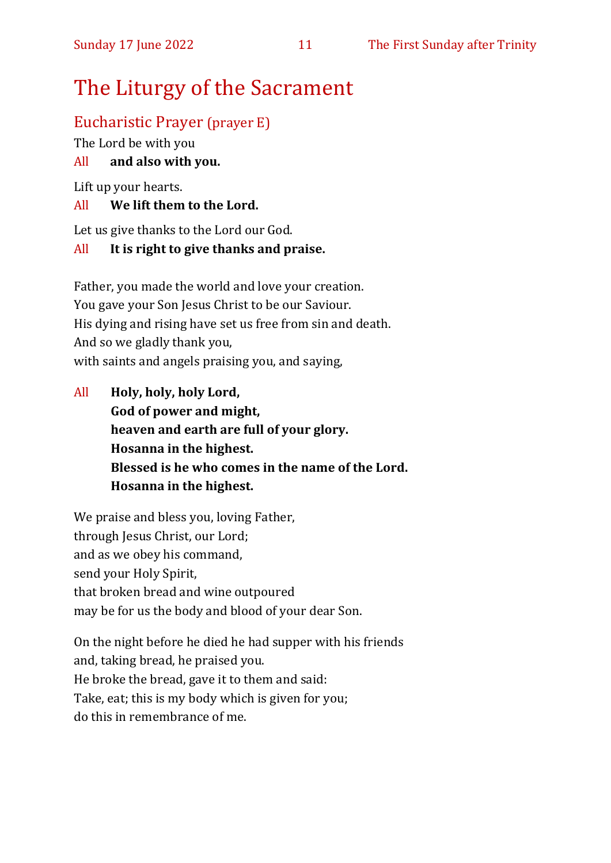## The Liturgy of the Sacrament

#### Eucharistic Prayer (prayer E)

The Lord be with you

#### All **and also with you.**

Lift up your hearts.

#### All **We lift them to the Lord.**

Let us give thanks to the Lord our God.

#### All **It is right to give thanks and praise.**

Father, you made the world and love your creation. You gave your Son Jesus Christ to be our Saviour. His dying and rising have set us free from sin and death. And so we gladly thank you, with saints and angels praising you, and saying,

All **Holy, holy, holy Lord, God of power and might, heaven and earth are full of your glory. Hosanna in the highest. Blessed is he who comes in the name of the Lord. Hosanna in the highest.**

We praise and bless you, loving Father, through Jesus Christ, our Lord; and as we obey his command, send your Holy Spirit, that broken bread and wine outpoured may be for us the body and blood of your dear Son.

On the night before he died he had supper with his friends and, taking bread, he praised you. He broke the bread, gave it to them and said: Take, eat; this is my body which is given for you; do this in remembrance of me.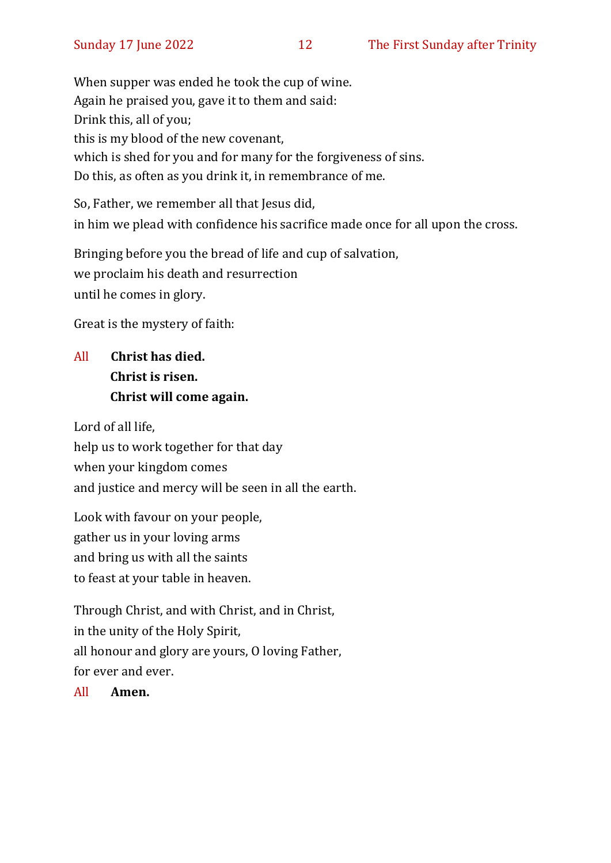When supper was ended he took the cup of wine. Again he praised you, gave it to them and said: Drink this, all of you; this is my blood of the new covenant, which is shed for you and for many for the forgiveness of sins. Do this, as often as you drink it, in remembrance of me.

So, Father, we remember all that Jesus did, in him we plead with confidence his sacrifice made once for all upon the cross.

Bringing before you the bread of life and cup of salvation, we proclaim his death and resurrection until he comes in glory.

Great is the mystery of faith:

#### All **Christ has died. Christ is risen. Christ will come again.**

Lord of all life, help us to work together for that day when your kingdom comes and justice and mercy will be seen in all the earth.

Look with favour on your people, gather us in your loving arms and bring us with all the saints to feast at your table in heaven.

Through Christ, and with Christ, and in Christ, in the unity of the Holy Spirit, all honour and glory are yours, O loving Father, for ever and ever.

All **Amen.**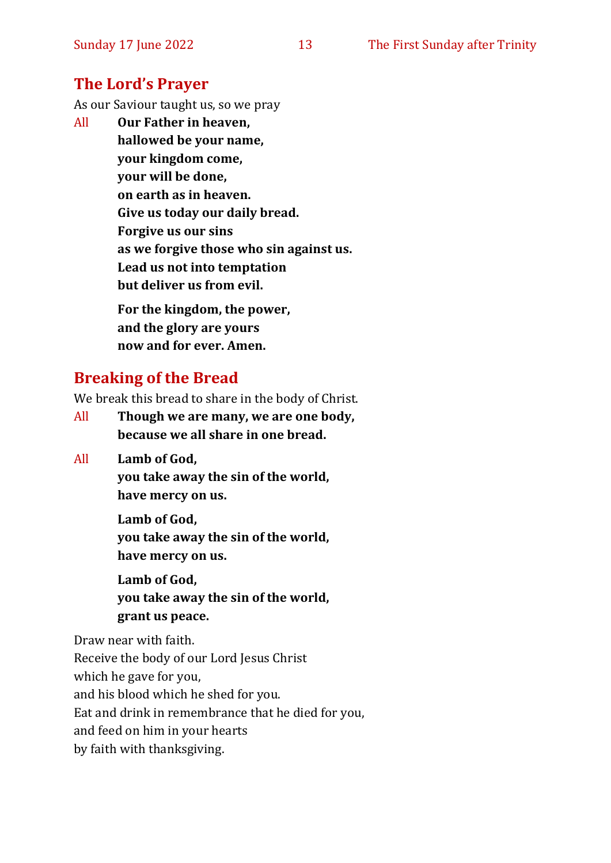#### **The Lord's Prayer**

As our Saviour taught us, so we pray

All **Our Father in heaven, hallowed be your name, your kingdom come, your will be done, on earth as in heaven. Give us today our daily bread. Forgive us our sins as we forgive those who sin against us. Lead us not into temptation but deliver us from evil. For the kingdom, the power,** 

**and the glory are yours now and for ever. Amen.**

#### **Breaking of the Bread**

We break this bread to share in the body of Christ.

- All **Though we are many, we are one body, because we all share in one bread.**
- All **Lamb of God,**

**you take away the sin of the world, have mercy on us.**

**Lamb of God, you take away the sin of the world,** 

**have mercy on us.**

**Lamb of God,** 

**you take away the sin of the world, grant us peace.**

Draw near with faith.

Receive the body of our Lord Jesus Christ which he gave for you, and his blood which he shed for you. Eat and drink in remembrance that he died for you, and feed on him in your hearts by faith with thanksgiving.